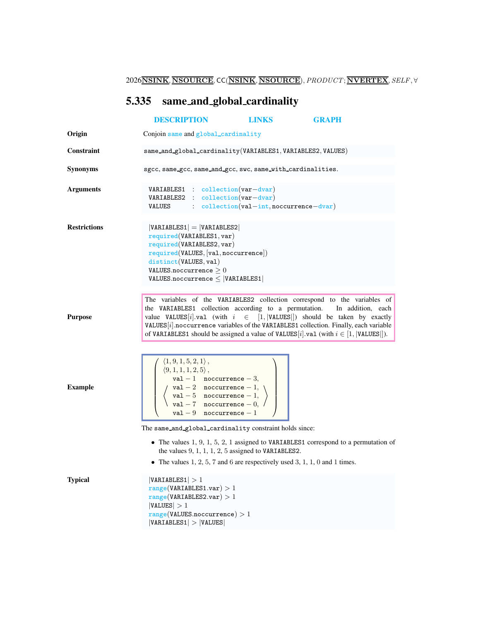2026 $\overline{\textbf{NSINK}}$ ,  $\overline{\textbf{NSOURCE}}$ , CC $(\overline{\textbf{NSINK}}$ ,  $\overline{\textbf{NSOURCE}})$ ,  $PRODUCT; \overline{\textbf{NVERTEX}}$ ,  $SELF$ ,  $\forall$ 

## <span id="page-0-0"></span>5.335 same and global cardinality

|                     | <b>DESCRIPTION</b>                                                                                                                                                                                                                                                                                                     | <b>LINKS</b> | <b>GRAPH</b>                                                                                                                                                                                                                                                                                                                                                                                                                         |
|---------------------|------------------------------------------------------------------------------------------------------------------------------------------------------------------------------------------------------------------------------------------------------------------------------------------------------------------------|--------------|--------------------------------------------------------------------------------------------------------------------------------------------------------------------------------------------------------------------------------------------------------------------------------------------------------------------------------------------------------------------------------------------------------------------------------------|
| Origin              | Conjoin same and global_cardinality                                                                                                                                                                                                                                                                                    |              |                                                                                                                                                                                                                                                                                                                                                                                                                                      |
| Constraint          | same_and_global_cardinality(VARIABLES1, VARIABLES2, VALUES)                                                                                                                                                                                                                                                            |              |                                                                                                                                                                                                                                                                                                                                                                                                                                      |
| <b>Synonyms</b>     | sgcc, same_gcc, same_and_gcc, swc, same_with_cardinalities.                                                                                                                                                                                                                                                            |              |                                                                                                                                                                                                                                                                                                                                                                                                                                      |
| <b>Arguments</b>    | $VARIABLES1 : collection(var-dvar)$<br>VARIABLES2 : collection(var-dvar)<br>VALUES : collection(val-int, noccurrence-dvar)                                                                                                                                                                                             |              |                                                                                                                                                                                                                                                                                                                                                                                                                                      |
| <b>Restrictions</b> | $ VARIABLES1  =  VARIABLES2 $<br>required(VARIABLES1, var)<br>required(VARIABLES2, var)<br>required(VALUES, [val,nocurrence])<br>distinct(VALUES, val)<br>VALUES.noccurrence $\geq 0$<br>$VALUES.noccurrence \leq  VARIABLES1 $                                                                                        |              |                                                                                                                                                                                                                                                                                                                                                                                                                                      |
| <b>Purpose</b>      |                                                                                                                                                                                                                                                                                                                        |              | The variables of the VARIABLES2 collection correspond to the variables of<br>the VARIABLES1 collection according to a permutation. In addition, each<br>value VALUES [i]. val (with $i \in [1,  VALUES ]$ ) should be taken by exactly<br>$VALUES[i]$ .noccurrence variables of the VARIABLES1 collection. Finally, each variable<br>of VARIABLES1 should be assigned a value of VALUES[i].val (with $i \in [1,  \text{VALUES} ]$ ). |
| <b>Example</b>      | $\langle 1, 9, 1, 5, 2, 1 \rangle$ ,<br>$\begin{cases}\n\langle 9, 1, 1, 1, 2, 5 \rangle, \\ \langle 9, 1, 1, 1, 2, 5 \rangle, \\ \langle 1, -1 \rangle\n\end{cases}$ val - 2 noccurrence - 1,<br>$\langle 1, 0, 1, 2, 5 \rangle$<br>val - 5 noccurrence - 1,<br>val - 7 noccurrence - 0,<br>$val - 9$ noccurrence - 1 |              |                                                                                                                                                                                                                                                                                                                                                                                                                                      |
|                     | The same_and_global_cardinality constraint holds since:                                                                                                                                                                                                                                                                |              |                                                                                                                                                                                                                                                                                                                                                                                                                                      |
|                     | the values $9, 1, 1, 1, 2, 5$ assigned to VARIABLES2.<br>• The values $1, 2, 5, 7$ and 6 are respectively used 3, 1, 1, 0 and 1 times.                                                                                                                                                                                 |              | • The values $1, 9, 1, 5, 2, 1$ assigned to VARIABLES1 correspond to a permutation of                                                                                                                                                                                                                                                                                                                                                |
| <b>Typical</b>      | VARIABLES1  > 1<br>range(VARIABLES1.var) > 1<br>range(VARIABLES2.var) > 1<br> VALUES  > 1<br>range(VALUES.noccurrence) > 1<br> VARIABLES1  >  VALUES                                                                                                                                                                   |              |                                                                                                                                                                                                                                                                                                                                                                                                                                      |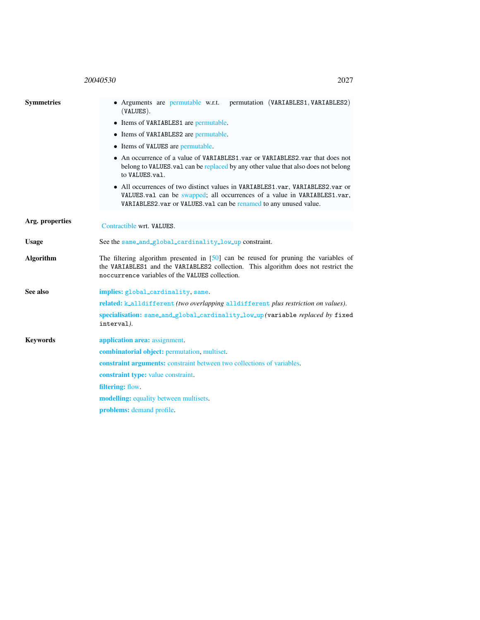## 20040530 2027

<span id="page-1-0"></span>

| <b>Symmetries</b> | • Arguments are permutable w.r.t. permutation (VARIABLES1, VARIABLES2)<br>$(VALUES)$ .                                                                                                                                          |  |  |  |
|-------------------|---------------------------------------------------------------------------------------------------------------------------------------------------------------------------------------------------------------------------------|--|--|--|
|                   | • Items of VARIABLES1 are permutable.                                                                                                                                                                                           |  |  |  |
|                   | • Items of VARIABLES2 are permutable.                                                                                                                                                                                           |  |  |  |
|                   | • Items of VALUES are permutable.                                                                                                                                                                                               |  |  |  |
|                   | • An occurrence of a value of VARIABLES1.var or VARIABLES2.var that does not<br>belong to VALUES.val can be replaced by any other value that also does not belong<br>to VALUES.val.                                             |  |  |  |
|                   | • All occurrences of two distinct values in VARIABLES1.var, VARIABLES2.var or<br>VALUES.val can be swapped; all occurrences of a value in VARIABLES1.var,<br>VARIABLES2. var or VALUES. val can be renamed to any unused value. |  |  |  |
| Arg. properties   | Contractible wrt. VALUES.                                                                                                                                                                                                       |  |  |  |
| <b>Usage</b>      | See the same_and_global_cardinality_low_up constraint.                                                                                                                                                                          |  |  |  |
| <b>Algorithm</b>  | The filtering algorithm presented in $[50]$ can be reused for pruning the variables of<br>the VARIABLES1 and the VARIABLES2 collection. This algorithm does not restrict the<br>noccurrence variables of the VALUES collection. |  |  |  |
| See also          | implies: global_cardinality, same.                                                                                                                                                                                              |  |  |  |
|                   | related: k_alldifferent (two overlapping alldifferent plus restriction on values).                                                                                                                                              |  |  |  |
|                   | specialisation: same_and_global_cardinality_low_up (variable replaced by fixed<br>interval).                                                                                                                                    |  |  |  |
| <b>Keywords</b>   | application area: assignment.                                                                                                                                                                                                   |  |  |  |
|                   | combinatorial object: permutation, multiset.                                                                                                                                                                                    |  |  |  |
|                   | <b>constraint arguments:</b> constraint between two collections of variables.                                                                                                                                                   |  |  |  |
|                   | constraint type: value constraint.                                                                                                                                                                                              |  |  |  |
|                   | filtering: flow.                                                                                                                                                                                                                |  |  |  |
|                   | <b>modelling:</b> equality between multisets.                                                                                                                                                                                   |  |  |  |
|                   | problems: demand profile.                                                                                                                                                                                                       |  |  |  |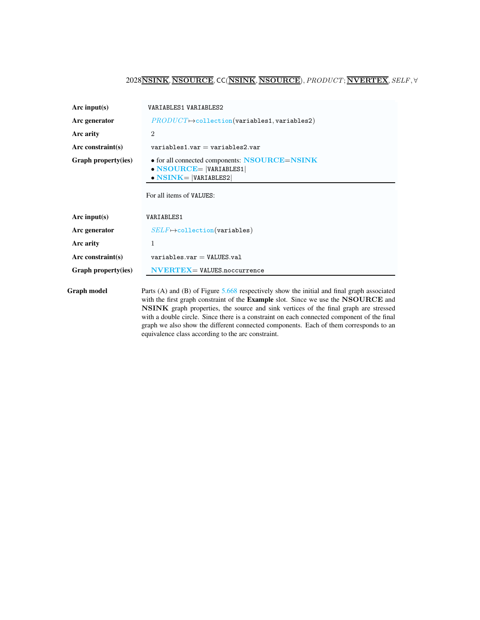## <span id="page-2-0"></span>2028NSINK, NSOURCE, CC(NSINK, NSOURCE),PRODUCT; NVERTEX, SELF, ∀

| Arc input(s)        | VARIABLES1 VARIABLES2                                                                                                                                                                           |  |  |
|---------------------|-------------------------------------------------------------------------------------------------------------------------------------------------------------------------------------------------|--|--|
| Arc generator       | $PRODUCT \rightarrow collection(variables1, variables2)$                                                                                                                                        |  |  |
| Arc arity           | $\overline{2}$                                                                                                                                                                                  |  |  |
| Arc constraint(s)   | $variable s1.var = variables 2.var$                                                                                                                                                             |  |  |
| Graph property(ies) | • for all connected components: NSOURCE=NSINK<br>$\bullet$ NSOURCE=  VARIABLES1 <br>$\bullet$ NSINK=  VARIABLES2                                                                                |  |  |
|                     | For all items of VALUES:                                                                                                                                                                        |  |  |
| Arc input(s)        | VARIABLES1                                                                                                                                                                                      |  |  |
| Arc generator       | $SELF \mapsto$ collection(variables)                                                                                                                                                            |  |  |
| Arc arity           | 1                                                                                                                                                                                               |  |  |
| Arc constraint(s)   | $variable s.var = VALUES.va1$                                                                                                                                                                   |  |  |
| Graph property(ies) | $NVERTEX = VALUES.noccurrence$                                                                                                                                                                  |  |  |
| Graph model         | Parts (A) and (B) of Figure $5.668$ respectively show the initial and final graph associated<br>with the first graph constraint of the <b>Example</b> slot. Since we use the <b>NSOURCE</b> and |  |  |

NSINK graph properties, the source and sink vertices of the final graph are stressed with a double circle. Since there is a constraint on each connected component of the final graph we also show the different connected components. Each of them corresponds to an equivalence class according to the arc constraint.